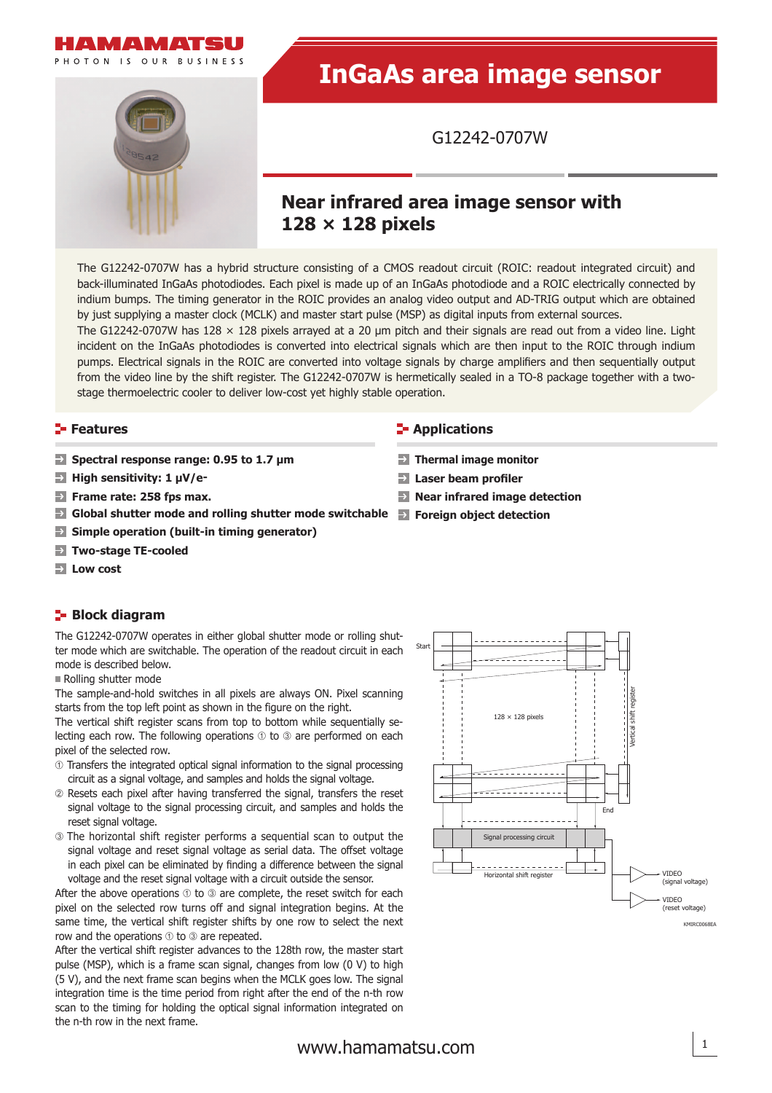



# **InGaAs area image sensor**

G12242-0707W

# **Near infrared area image sensor with 128 × 128 pixels**

**Thermal image monitor**  $\rightarrow$  Laser beam profiler

The G12242-0707W has a hybrid structure consisting of a CMOS readout circuit (ROIC: readout integrated circuit) and back-illuminated InGaAs photodiodes. Each pixel is made up of an InGaAs photodiode and a ROIC electrically connected by indium bumps. The timing generator in the ROIC provides an analog video output and AD-TRIG output which are obtained by just supplying a master clock (MCLK) and master start pulse (MSP) as digital inputs from external sources.

The G12242-0707W has 128  $\times$  128 pixels arrayed at a 20 µm pitch and their signals are read out from a video line. Light incident on the InGaAs photodiodes is converted into electrical signals which are then input to the ROIC through indium pumps. Electrical signals in the ROIC are converted into voltage signals by charge amplifiers and then sequentially output from the video line by the shift register. The G12242-0707W is hermetically sealed in a TO-8 package together with a twostage thermoelectric cooler to deliver low-cost yet highly stable operation.

#### **Features Applications**

- **Spectral response range: 0.95 to 1.7 μm**
- **High sensitivity: 1 μV/e-**
- $\rightarrow$ **Frame rate: 258 fps max. Near infrared image detection**
- **Global shutter mode and rolling shutter mode switchable Foreign object detection**
- $\rightarrow$ **Simple operation (built-in timing generator)**
- $\rightarrow$ **Two-stage TE-cooled**
- **Low cost**

### **Block diagram**

The G12242-0707W operates in either global shutter mode or rolling shutter mode which are switchable. The operation of the readout circuit in each mode is described below.

Rolling shutter mode

The sample-and-hold switches in all pixels are always ON. Pixel scanning starts from the top left point as shown in the figure on the right.

The vertical shift register scans from top to bottom while sequentially selecting each row. The following operations  $\odot$  to  $\odot$  are performed on each pixel of the selected row.

- Transfers the integrated optical signal information to the signal processing circuit as a signal voltage, and samples and holds the signal voltage.
- Resets each pixel after having transferred the signal, transfers the reset signal voltage to the signal processing circuit, and samples and holds the reset signal voltage.
- The horizontal shift register performs a sequential scan to output the signal voltage and reset signal voltage as serial data. The offset voltage in each pixel can be eliminated by finding a difference between the signal voltage and the reset signal voltage with a circuit outside the sensor.

After the above operations  $\odot$  to  $\odot$  are complete, the reset switch for each pixel on the selected row turns off and signal integration begins. At the same time, the vertical shift register shifts by one row to select the next row and the operations  $\odot$  to  $\odot$  are repeated.

After the vertical shift register advances to the 128th row, the master start pulse (MSP), which is a frame scan signal, changes from low (0 V) to high (5 V), and the next frame scan begins when the MCLK goes low. The signal integration time is the time period from right after the end of the n-th row scan to the timing for holding the optical signal information integrated on the n-th row in the next frame.

# Vertical shift register <u>Horizontal</u> shift register Start End VIDEO (signal voltage) VIDEO (reset voltage) Signal processing circuit 128 × 128 pixels **KMIRC0068EA**

# [www.hamamatsu.com](http://www.hamamatsu.com) 1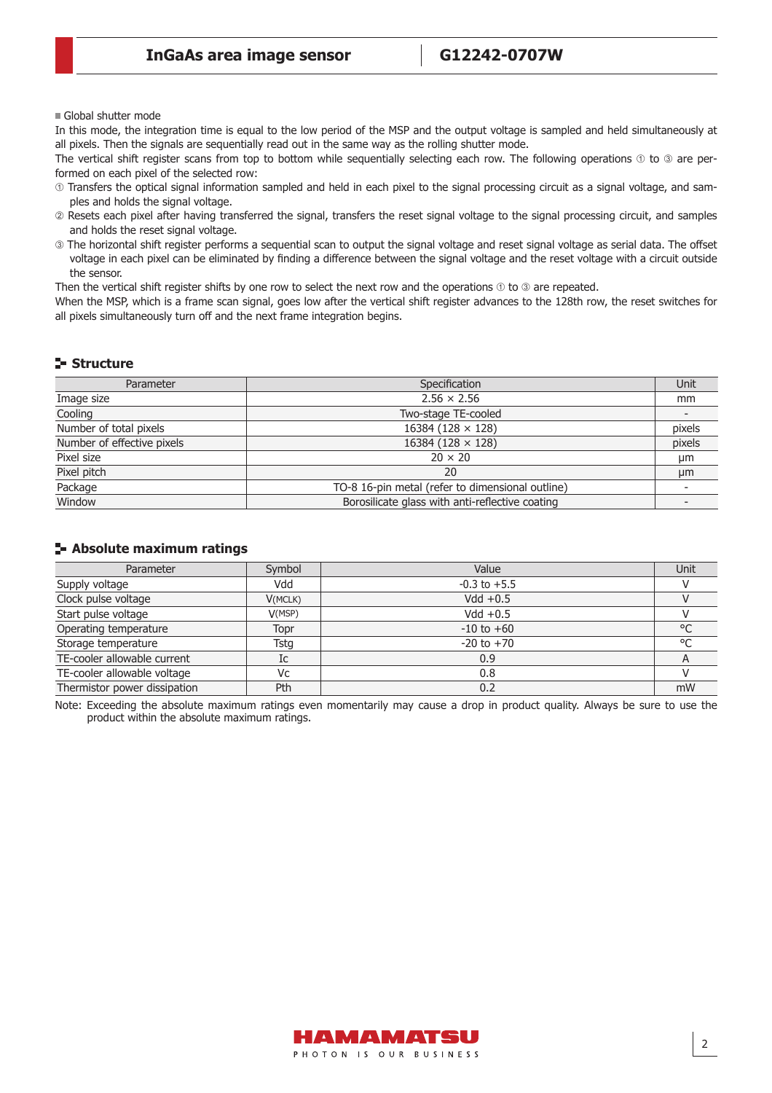Global shutter mode

In this mode, the integration time is equal to the low period of the MSP and the output voltage is sampled and held simultaneously at all pixels. Then the signals are sequentially read out in the same way as the rolling shutter mode.

The vertical shift register scans from top to bottom while sequentially selecting each row. The following operations  $\odot$  to  $\odot$  are performed on each pixel of the selected row:

- Transfers the optical signal information sampled and held in each pixel to the signal processing circuit as a signal voltage, and samples and holds the signal voltage.
- Resets each pixel after having transferred the signal, transfers the reset signal voltage to the signal processing circuit, and samples and holds the reset signal voltage.
- The horizontal shift register performs a sequential scan to output the signal voltage and reset signal voltage as serial data. The off set voltage in each pixel can be eliminated by finding a difference between the signal voltage and the reset voltage with a circuit outside the sensor.

Then the vertical shift register shifts by one row to select the next row and the operations  $\odot$  to  $\odot$  are repeated.

When the MSP, which is a frame scan signal, goes low after the vertical shift register advances to the 128th row, the reset switches for all pixels simultaneously turn off and the next frame integration begins.

#### **Structure**

| Parameter                  | Specification                                    | Unit   |
|----------------------------|--------------------------------------------------|--------|
| Image size                 | $2.56 \times 2.56$                               | mm     |
| Cooling                    | Two-stage TE-cooled                              |        |
| Number of total pixels     | 16384 (128 $\times$ 128)                         | pixels |
| Number of effective pixels | 16384 (128 $\times$ 128)                         | pixels |
| Pixel size                 | $20 \times 20$                                   | μm     |
| Pixel pitch                | 20                                               | μm     |
| Package                    | TO-8 16-pin metal (refer to dimensional outline) |        |
| Window                     | Borosilicate glass with anti-reflective coating  |        |

#### **Absolute maximum ratings**

| Parameter                    | Symbol  | Value            | Unit    |
|------------------------------|---------|------------------|---------|
| Supply voltage               | Vdd     | $-0.3$ to $+5.5$ |         |
| Clock pulse voltage          | V(MCLK) | Vdd $+0.5$       |         |
| Start pulse voltage          | V(MSP)  | Vdd $+0.5$       |         |
| Operating temperature        | Topr    | $-10$ to $+60$   | $\circ$ |
| Storage temperature          | Tstg    | $-20$ to $+70$   | $\circ$ |
| TE-cooler allowable current  | Ic      | 0.9              |         |
| TE-cooler allowable voltage  | Vc      | 0.8              |         |
| Thermistor power dissipation | Pth     | 0.2              | mW      |

Note: Exceeding the absolute maximum ratings even momentarily may cause a drop in product quality. Always be sure to use the product within the absolute maximum ratings.

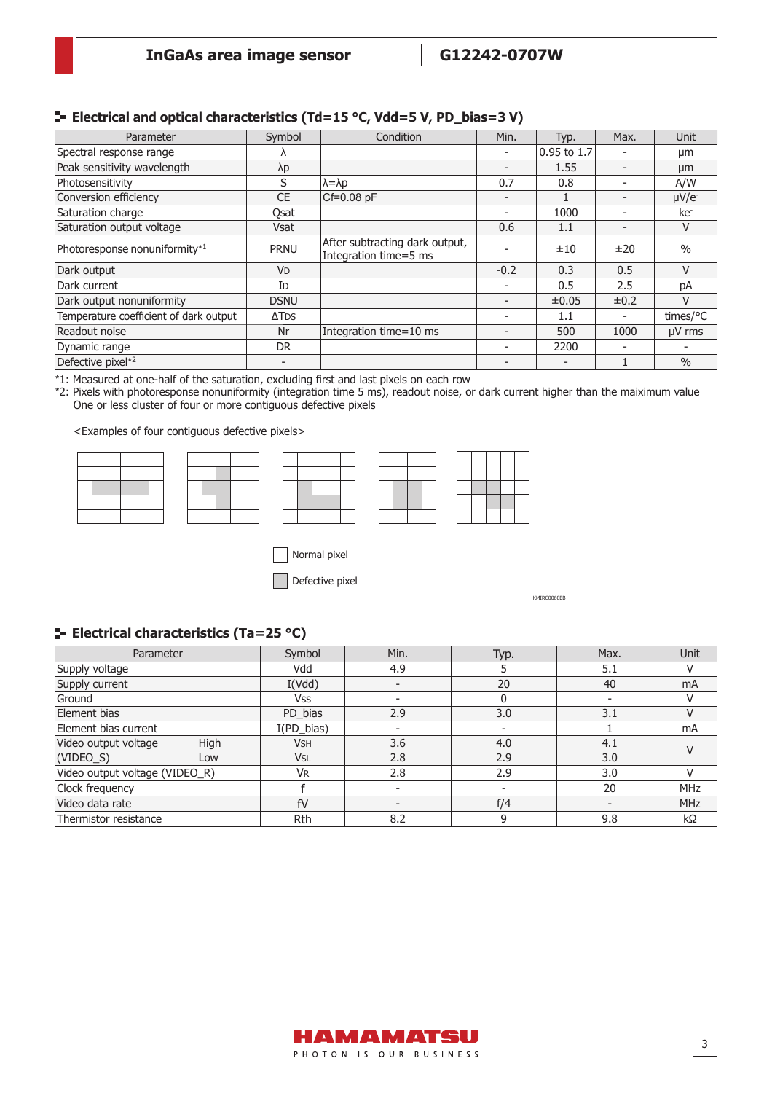| Parameter                              | Symbol               | Condition                                               | Min.                     | Typ.        | Max.                     | <b>Unit</b>     |
|----------------------------------------|----------------------|---------------------------------------------------------|--------------------------|-------------|--------------------------|-----------------|
| Spectral response range                |                      |                                                         |                          | 0.95 to 1.7 | $\overline{\phantom{0}}$ | µm              |
| Peak sensitivity wavelength            | λp                   |                                                         | $\overline{\phantom{0}}$ | 1.55        | $\overline{\phantom{a}}$ | µm              |
| Photosensitivity                       | S                    | $\lambda = \lambda p$                                   | 0.7                      | 0.8         | $\overline{\phantom{0}}$ | A/W             |
| Conversion efficiency                  | <b>CE</b>            | $CF=0.08$ pF                                            |                          |             |                          | $\mu V/e^{-}$   |
| Saturation charge                      | Osat                 |                                                         |                          | 1000        | $\overline{\phantom{0}}$ | ke <sup>-</sup> |
| Saturation output voltage              | <b>Vsat</b>          |                                                         | 0.6                      | 1.1         | $\overline{\phantom{0}}$ | V               |
| Photoresponse nonuniformity*1          | <b>PRNU</b>          | After subtracting dark output,<br>Integration time=5 ms |                          | ±10         | ±20                      | $\%$            |
| Dark output                            | <b>V<sub>D</sub></b> |                                                         | $-0.2$                   | 0.3         | 0.5                      | V               |
| Dark current                           | ID                   |                                                         |                          | 0.5         | 2.5                      | рA              |
| Dark output nonuniformity              | <b>DSNU</b>          |                                                         |                          | $\pm 0.05$  | $\pm 0.2$                | v               |
| Temperature coefficient of dark output | $\Delta$ TDS         |                                                         |                          | 1.1         | $\overline{\phantom{a}}$ | times/°C        |
| Readout noise                          | Nr                   | Integration time=10 ms                                  |                          | 500         | 1000                     | µV rms          |
| Dynamic range                          | DR.                  |                                                         |                          | 2200        |                          |                 |
| Defective pixel*2                      |                      |                                                         |                          |             |                          | $\frac{0}{0}$   |

\*1: Measured at one-half of the saturation, excluding first and last pixels on each row

\*2: Pixels with photoresponse nonuniformity (integration time 5 ms), readout noise, or dark current higher than the maiximum value One or less cluster of four or more contiguous defective pixels

<Examples of four contiguous defective pixels>



Normal pixel

Defective pixel

KMIRC0060EB

#### **E-** Electrical characteristics (Ta=25 °C)

| Parameter                      |      | Symbol     | Min. | Typ. | Max. | <b>Unit</b>   |
|--------------------------------|------|------------|------|------|------|---------------|
| Supply voltage                 |      | Vdd        | 4.9  |      | 5.1  |               |
| Supply current                 |      | I(Vdd)     |      | 20   | 40   | mA            |
| Ground                         |      | Vss        |      | 0    |      |               |
| Element bias                   |      | PD_bias    | 2.9  | 3.0  | 3.1  |               |
| Element bias current           |      | I(PD_bias) |      |      |      | mA            |
| Video output voltage           | High | <b>VSH</b> | 3.6  | 4.0  | 4.1  | $\mathcal{U}$ |
| $(VIDEO_S)$                    | Low  | <b>VSL</b> | 2.8  | 2.9  | 3.0  |               |
| Video output voltage (VIDEO_R) |      | <b>V</b> R | 2.8  | 2.9  | 3.0  |               |
| Clock frequency                |      |            |      |      | 20   | <b>MHz</b>    |
| Video data rate                |      | fV         |      | f/4  |      | <b>MHz</b>    |
| Thermistor resistance          |      | <b>Rth</b> | 8.2  | 9    | 9.8  | $k\Omega$     |

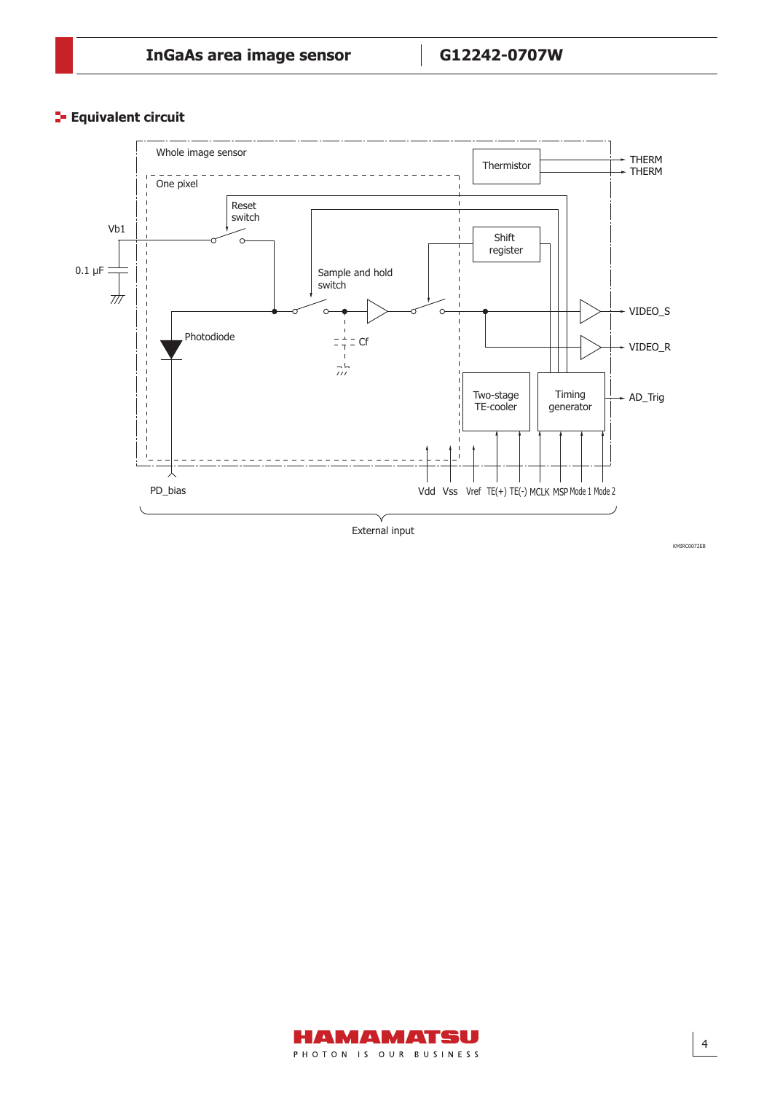**Equivalent circuit** 



External input



KMIRC0072EB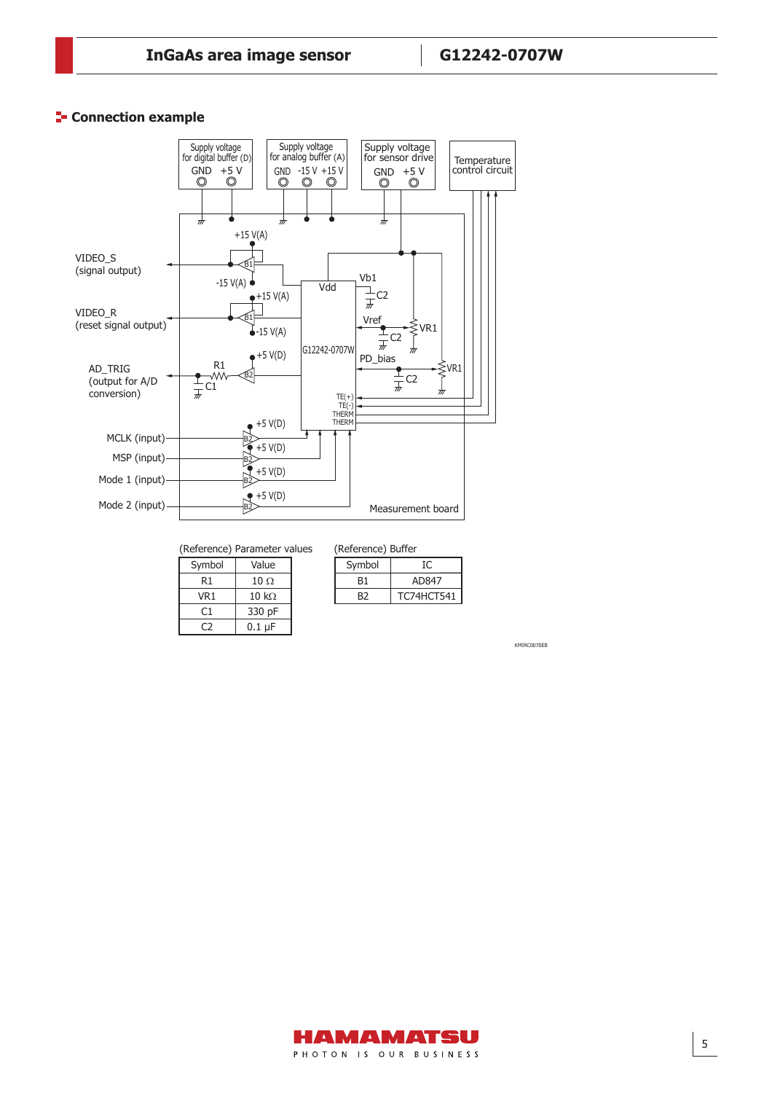#### **Connection example**



(Reference) Parameter values (Reference)

| Symbol | Value         |
|--------|---------------|
| R1     | $10 \Omega$   |
| VR1    | 10 k $\Omega$ |
| C1     | 330 pF        |
|        | 0.1 uF        |

|  | eference) Buffer |  |
|--|------------------|--|
|  |                  |  |

 $\mathsf{L}$ 

| NUCLUS INC. DUITCH |            |  |  |  |
|--------------------|------------|--|--|--|
| Symbol             | IС         |  |  |  |
| B1                 | AD847      |  |  |  |
| B2                 | TC74HCT541 |  |  |  |
|                    |            |  |  |  |

KMIRC0070EB

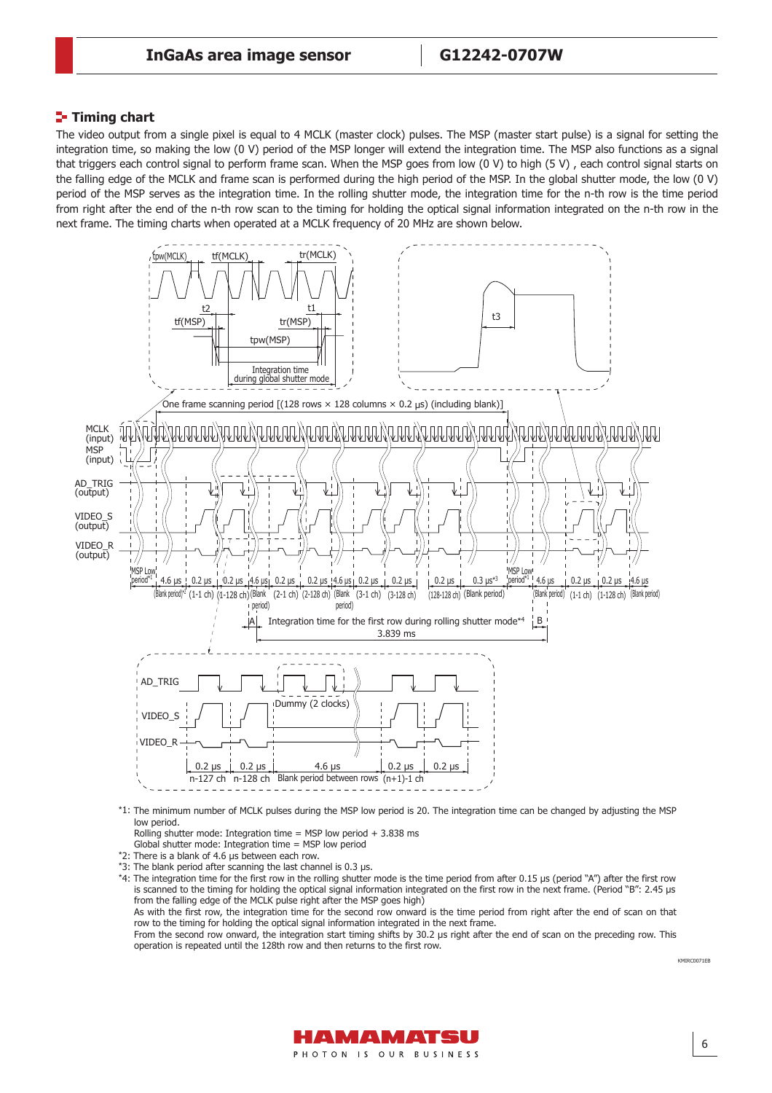#### **Timing chart**

The video output from a single pixel is equal to 4 MCLK (master clock) pulses. The MSP (master start pulse) is a signal for setting the integration time, so making the low (0 V) period of the MSP longer will extend the integration time. The MSP also functions as a signal that triggers each control signal to perform frame scan. When the MSP goes from low (0 V) to high (5 V) , each control signal starts on the falling edge of the MCLK and frame scan is performed during the high period of the MSP. In the global shutter mode, the low (0 V) period of the MSP serves as the integration time. In the rolling shutter mode, the integration time for the n-th row is the time period from right after the end of the n-th row scan to the timing for holding the optical signal information integrated on the n-th row in the next frame. The timing charts when operated at a MCLK frequency of 20 MHz are shown below.



- \*1: The minimum number of MCLK pulses during the MSP low period is 20. The integration time can be changed by adjusting the MSP low period.
	- Rolling shutter mode: Integration time = MSP low period + 3.838 ms
- Global shutter mode: Integration time = MSP low period
- \*2: There is a blank of 4.6 μs between each row.
- \*3: The blank period after scanning the last channel is 0.3 μs.
- \*4: The integration time for the first row in the rolling shutter mode is the time period from after 0.15 μs (period "A") after the first row is scanned to the timing for holding the optical signal information integrated on the first row in the next frame. (Period "B": 2.45 μs from the falling edge of the MCLK pulse right after the MSP goes high)

As with the first row, the integration time for the second row onward is the time period from right after the end of scan on that row to the timing for holding the optical signal information integrated in the next frame.

From the second row onward, the integration start timing shifts by 30.2 μs right after the end of scan on the preceding row. This operation is repeated until the 128th row and then returns to the first row.



6

KMIRC0071EB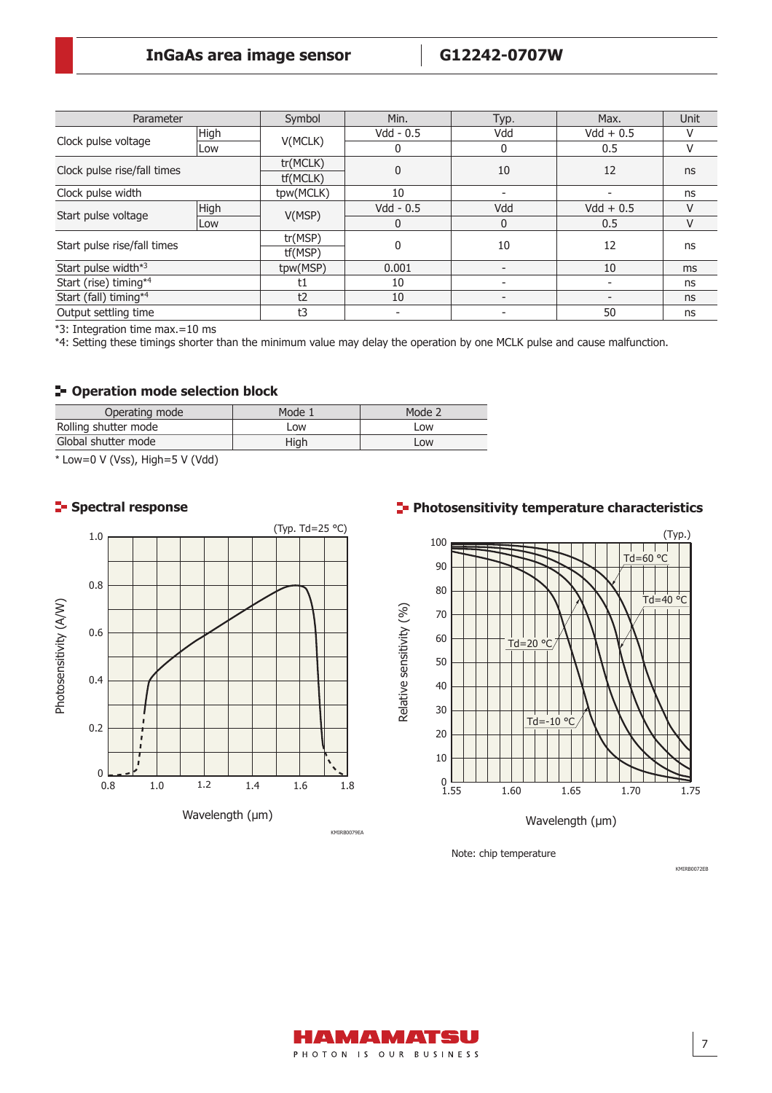| Parameter                   |      | Symbol               | Min.         | Typ.         | Max.        | Unit |
|-----------------------------|------|----------------------|--------------|--------------|-------------|------|
|                             | High | V(MCLK)              | $Vdd - 0.5$  | Vdd          | $Vdd + 0.5$ | V    |
| Clock pulse voltage         | Low  |                      | 0            | 0            | 0.5         | V    |
| Clock pulse rise/fall times |      | tr(MCLK)<br>tf(MCLK) | $\mathbf 0$  | 10           | 12          | ns   |
| Clock pulse width           |      | tpw(MCLK)            | 10           |              |             | ns   |
| Start pulse voltage         | High | V(MSP)               | $Vdd - 0.5$  | Vdd          | $Vdd + 0.5$ | V    |
|                             | Low  |                      | 0            | $\mathbf{0}$ | 0.5         | V    |
| Start pulse rise/fall times |      | tr(MSP)<br>tf(MSP)   | $\mathbf{0}$ | 10           | 12          | ns   |
| Start pulse width*3         |      | tpw(MSP)             | 0.001        |              | 10          | ms   |
| Start (rise) timing*4       |      | t1                   | 10           |              |             | ns   |
| Start (fall) timing*4       |      | t2                   | 10           |              |             | ns   |
| Output settling time        |      | t3                   |              |              | 50          | ns   |

\*3: Integration time max.=10 ms

\*4: Setting these timings shorter than the minimum value may delay the operation by one MCLK pulse and cause malfunction.

#### **Operation mode selection block**

| Operating mode       | Mode 1 | Mode 2 |
|----------------------|--------|--------|
| Rolling shutter mode | Low    | Low    |
| Global shutter mode  | Hiah   | Low    |

\* Low=0 V (Vss), High=5 V (Vdd)



# **Spectral response Photosensitivity temperature characteristics**



Note: chip temperature



KMIRB0072EB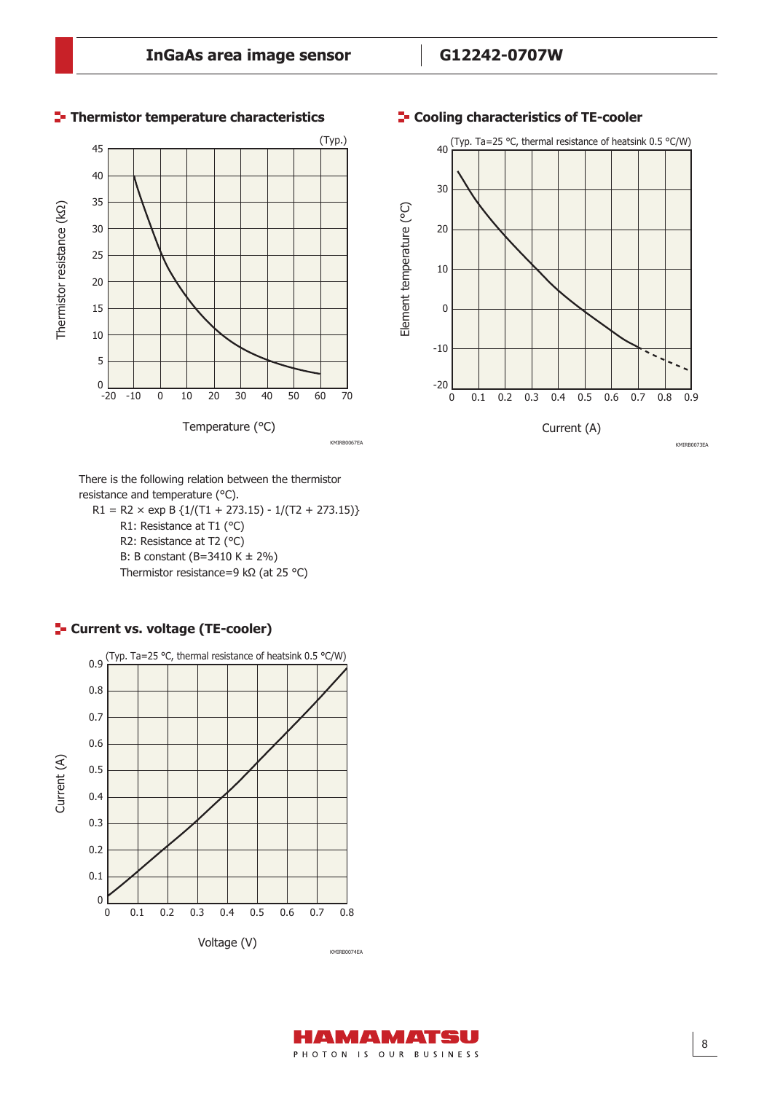

#### **Thermistor temperature characteristics**



 $R1 = R2 \times exp B \{1/(T1 + 273.15) - 1/(T2 + 273.15)\}$  R1: Resistance at T1 (°C) R2: Resistance at T2 (°C) B: B constant (B=3410 K ± 2%) Thermistor resistance=9 kΩ (at 25 °C)







#### **Cooling characteristics of TE-cooler**

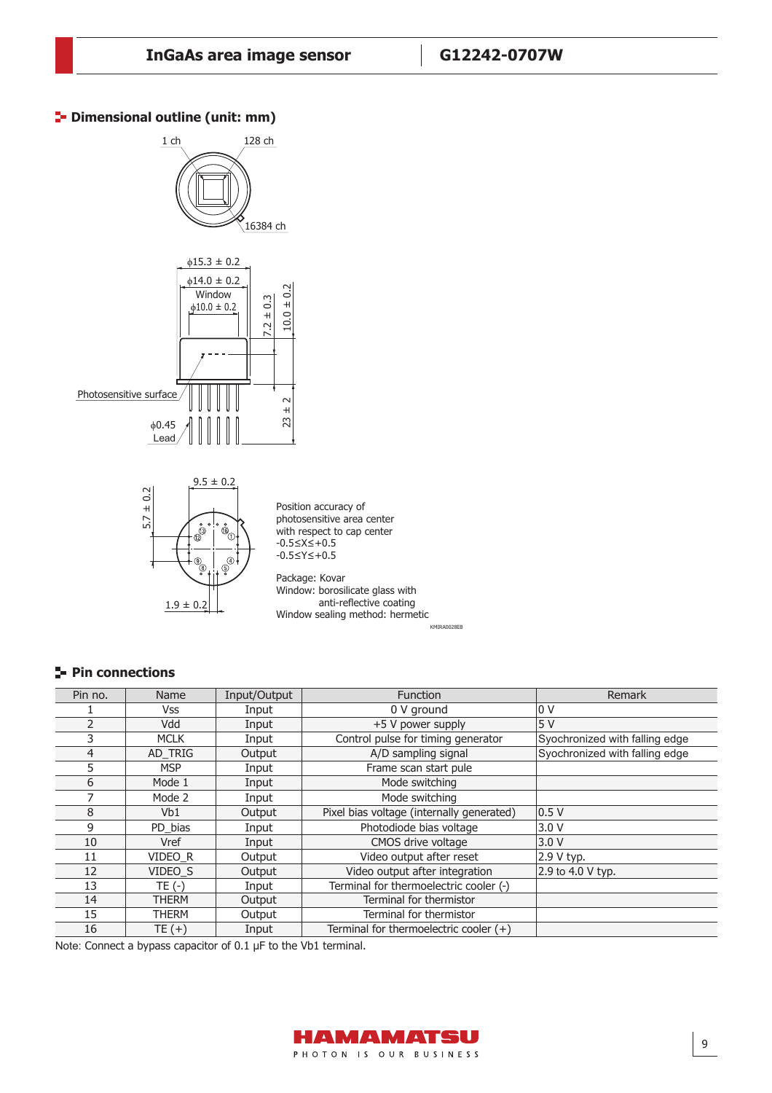## **P** Dimensional outline (unit: mm)



KMIRA0028EB

# **Pin connections**

| Pin no.        | Name         | Input/Output | <b>Function</b>                           | <b>Remark</b>                  |
|----------------|--------------|--------------|-------------------------------------------|--------------------------------|
|                | <b>Vss</b>   | Input        | 0 V ground                                | 10 V                           |
| $\mathcal{P}$  | Vdd          | Input        | +5 V power supply                         | 5V                             |
| 3              | <b>MCLK</b>  | Input        | Control pulse for timing generator        | Syochronized with falling edge |
| $\overline{4}$ | AD TRIG      | Output       | A/D sampling signal                       | Syochronized with falling edge |
| 5              | <b>MSP</b>   | Input        | Frame scan start pule                     |                                |
| 6              | Mode 1       | Input        | Mode switching                            |                                |
|                | Mode 2       | Input        | Mode switching                            |                                |
| 8              | Vb1          | Output       | Pixel bias voltage (internally generated) | 0.5V                           |
| 9              | PD_bias      | Input        | Photodiode bias voltage                   | 3.0V                           |
| 10             | Vref         | Input        | CMOS drive voltage                        | 3.0 V                          |
| 11             | VIDEO R      | Output       | Video output after reset                  | 2.9 V typ.                     |
| 12             | VIDEO S      | Output       | Video output after integration            | 2.9 to 4.0 V typ.              |
| 13             | $TE(-)$      | Input        | Terminal for thermoelectric cooler (-)    |                                |
| 14             | <b>THERM</b> | Output       | Terminal for thermistor                   |                                |
| 15             | THERM        | Output       | Terminal for thermistor                   |                                |
| 16             | $TE (+)$     | Input        | Terminal for thermoelectric cooler $(+)$  |                                |

Note: Connect a bypass capacitor of 0.1 μF to the Vb1 terminal.